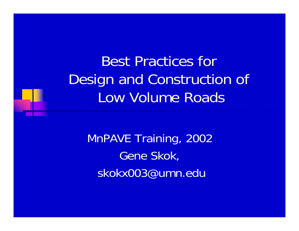Best Practices for Design and Construction of Low Volume Roads

MnPAVE Training, 2002 Gene Skok, skokx003@umn.edu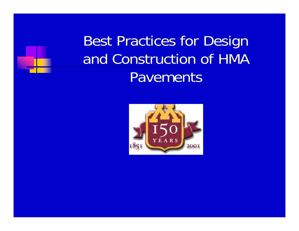Best Practices for Design and Construction of HMA Pavements

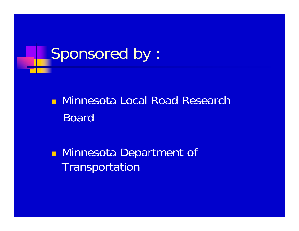

**• Minnesota Local Road Research** Board

**Refinition II** Minnesota Department of **Transportation**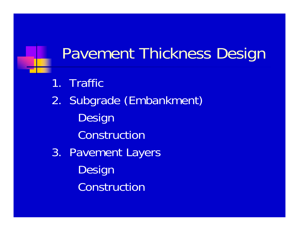### Pavement Thickness Design

- 1. Traffic
- 2. Subgrade (Embankment) Design Construction
- 3. Pavement Layers Design Construction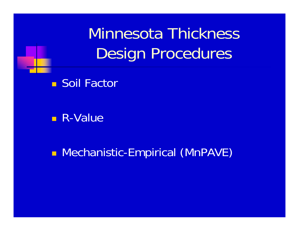Minnesota ThicknessDesign Procedures



R-Value

**- Mechanistic-Empirical (MnPAVE)**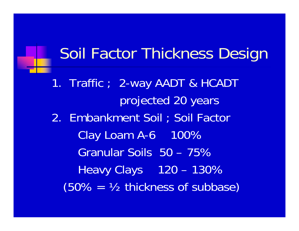### Soil Factor Thickness Design

1. Traffic ; 2-way AADT & HCADT projected 20 years 2. Embankment Soil ; Soil Factor Clay Loam A-6 100% Granular Soils 50 – 75% Heavy Clays 120 – 130%  $(50\% = \frac{1}{2}$  thickness of subbase)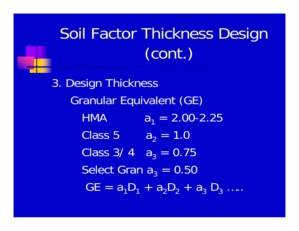# Soil Factor Thickness Design (cont.)

3. Design Thickness Granular Equivalent (GE) **HMA**  $a_1 = 2.00 - 2.25$ Class 5  $\rm a_2 = 1.0$ Class 3/ 4  $a_3 = 0.75$ Select Gran  $\bm{{\mathsf{a}}}_3$  = 0.50  $\mathsf{GE} = \mathsf{a}_1 \mathsf{D}_1 + \mathsf{a}_2 \mathsf{D}_2 + \mathsf{a}_3$  $\mathsf{D}_3$  ....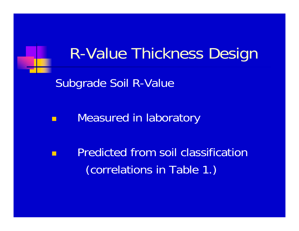### R-Value Thickness Design

Subgrade Soil R-Value

Measured in laboratory

 Predicted from soil classification (correlations in Table 1.)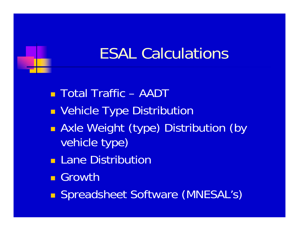### ESAL Calculations

Total Traffic – AADT

- **E** Vehicle Type Distribution
- **Axle Weight (type) Distribution (by** vehicle type)
- **Lane Distribution**
- **Growth**
- **Spreadsheet Software (MNESAL's)**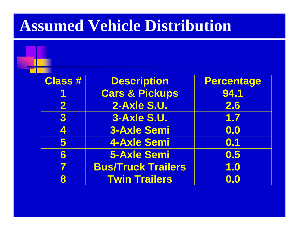#### **Assumed Vehicle Distribution**

| <b>Class #</b>           | <b>Description</b>        | <b>Percentage</b> |
|--------------------------|---------------------------|-------------------|
|                          | <b>Cars &amp; Pickups</b> | 94.1              |
| 2                        | 2-Axle S.U.               | 2.6               |
| 3                        | 3-Axle S.U.               | 1.7               |
| 4                        | <b>3-Axle Semi</b>        | 0.0               |
| 5                        | <b>4-Axle Semi</b>        | 0.1               |
| 6                        | <b>5-Axle Semi</b>        | 0.5               |
| $\overline{\phantom{a}}$ | <b>Bus/Truck Trailers</b> | 1.0               |
| 8                        | <b>Twin Trailers</b>      | $\mathbf{0.0}$    |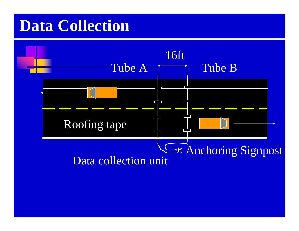#### **Data Collection**

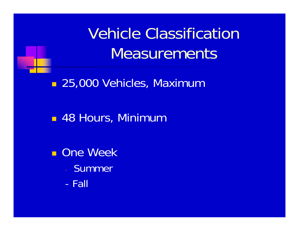

Vehicle Classification **Measurements** 

■ 25,000 Vehicles, Maximum

48 Hours, Minimum

**n** One Week

- **Summer**
- Fall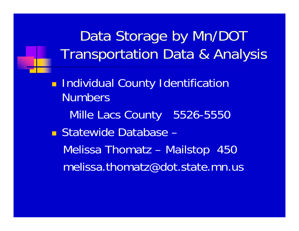Data Storage by Mn/DOT Transportation Data & Analysis

**E** Individual County Identification NumbersMille Lacs County 5526-5550 Statewide Database – Melissa Thomatz – Mailstop 450 melissa.thomatz@dot.state.mn.us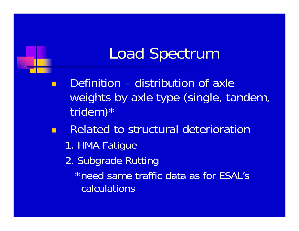### Load Spectrum

 Definition – distribution of axle weights by axle type (single, tandem, tridem)\*

- Related to structural deterioration
	- 1. HMA Fatigue
	- 2. Subgrade Rutting

\*need same traffic data as for ESAL's calculations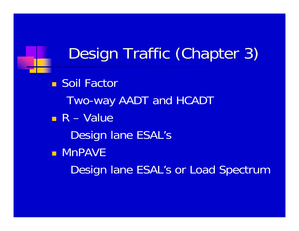### Design Traffic (Chapter 3)

■ Soil Factor Two-way AADT and HCADT R – Value Design lane ESAL's **• MnPAVE** Design lane ESAL's or Load Spectrum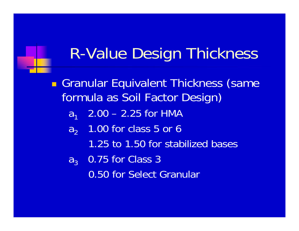### R-Value Design Thickness

**Granular Equivalent Thickness (same** formula as Soil Factor Design)  $a<sub>1</sub>$  2.00 – 2.25 for HMA  $\mathsf{a}_2$  1.00 for class 5 or 6 1.25 to 1.50 for stabilized bases ${\sf a}_3$  0.75 for Class 3 0.50 for Select Granular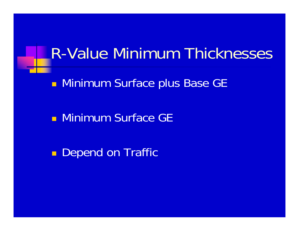#### R-Value Minimum Thicknesses

**- Minimum Surface plus Base GE** 

**• Minimum Surface GE** 

 $\blacksquare$ Depend on Traffic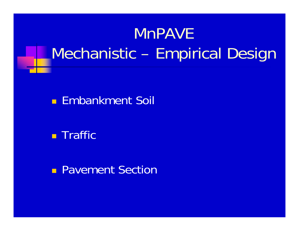# MnPAVEMechanistic – Empirical Design

#### **Embankment Soil**

**REA** Traffic

**Pavement Section**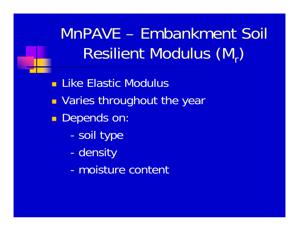MnPAVE – Embankment Soil Resilient Modulus (M,)

**Like Elastic Modulus** 

- **DED Varies throughout the year**
- $\blacksquare$  Depends on:
	- soil type
	- density
	- moisture content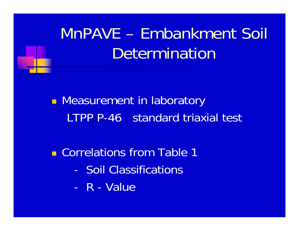

**Neasurement in laboratory** LTPP P-46 standard triaxial test

**E** Correlations from Table 1

- Soil Classifications
- R Value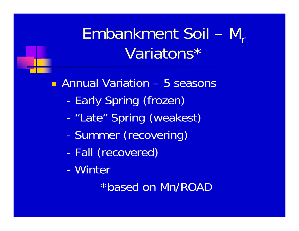# Embankment Soil – M<sub>r</sub> Variatons\*

Annual Variation – 5 seasons

- -Early Spring (frozen)
- -"Late" Spring (weakest)
- -Summer (recovering)
- -Fall (recovered)
- Winter

\*based on Mn/ROAD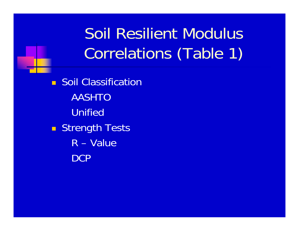Soil Resilient ModulusCorrelations (Table 1)

**B** Soil Classification AASHTOUnified■ Strength Tests R – Value**DCP**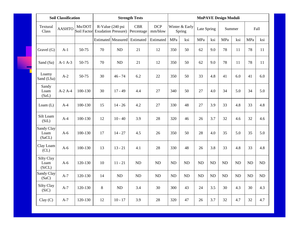| <b>Soil Classification</b>          |               |                       | <b>Strength Tests</b>     |                                                |                          | <b>MnPAVE Design Moduli</b> |           |                          |             |           |           |           |           |           |
|-------------------------------------|---------------|-----------------------|---------------------------|------------------------------------------------|--------------------------|-----------------------------|-----------|--------------------------|-------------|-----------|-----------|-----------|-----------|-----------|
| Textural<br>Class                   | <b>AASHTO</b> | Mn/DOT<br>Soil Factor |                           | R-Value (240 psi<br><b>Exudation Pressure)</b> | <b>CBR</b><br>Percentage | <b>DCP</b><br>mm/blow       |           | Winter & Early<br>Spring | Late Spring |           | Summer    |           | Fall      |           |
|                                     |               |                       | <b>Estimated</b> Measured |                                                | Estimated                | Estimated                   | MPa       | ksi                      | MPa         | ksi       | MPa       | ksi       | MPa       | ksi       |
| Gravel $(G)$                        | $A-1$         | 50-75                 | 70                        | N <sub>D</sub>                                 | 21                       | 12                          | 350       | 50                       | 62          | 9.0       | 78        | 11        | 78        | 11        |
| Sand (Sa)                           | $A-1A-3$      | 50-75                 | 70                        | ND                                             | 21                       | 12                          | 350       | 50                       | 62          | 9.0       | 78        | 11        | 78        | 11        |
| Loamy<br>Sand (LSa)                 | $A-2$         | 50-75                 | 30                        | $46 - 74$                                      | 6.2                      | 22                          | 350       | 50                       | 33          | 4.8       | 41        | 6.0       | 41        | 6.0       |
| Sandy<br>Loam<br>(SaL)              | $A-2A-4$      | 100-130               | 30                        | $17 - 49$                                      | 4.4                      | 27                          | 340       | 50                       | 27          | 4.0       | 34        | 5.0       | 34        | 5.0       |
| Loam $(L)$                          | $A-4$         | 100-130               | 15                        | $14 - 26$                                      | 4.2                      | 27                          | 330       | 48                       | 27          | 3.9       | 33        | 4.8       | 33        | 4.8       |
| Silt Loam<br>(SiL)                  | $A-4$         | 100-130               | 12                        | $10 - 40$                                      | 3.9                      | 28                          | 320       | 46                       | 26          | 3.7       | 32        | 4.6       | 32        | 4.6       |
| Sandy Clay<br>Loam<br>(SaCL)        | $A-6$         | 100-130               | 17                        | $14 - 27$                                      | 4.5                      | 26                          | 350       | 50                       | 28          | 4.0       | 35        | 5.0       | 35        | 5.0       |
| Clay Loam<br>CL)                    | $A-6$         | 100-130               | 13                        | $13 - 21$                                      | 4.1                      | 28                          | 330       | 48                       | 26          | 3.8       | 33        | 4.8       | 33        | 4.8       |
| <b>Silty Clay</b><br>Loam<br>(SiCL) | $A-6$         | 120-130               | 10                        | $11 - 21$                                      | <b>ND</b>                | ND                          | <b>ND</b> | ND                       | <b>ND</b>   | <b>ND</b> | <b>ND</b> | <b>ND</b> | <b>ND</b> | <b>ND</b> |
| Sandy Clay<br>(SaC)                 | $A-7$         | 120-130               | 14                        | ND                                             | <b>ND</b>                | ND                          | $\rm ND$  | ND                       | <b>ND</b>   | ND        | <b>ND</b> | <b>ND</b> | <b>ND</b> | <b>ND</b> |
| Silty Clay<br>(SiC)                 | $A-7$         | 120-130               | 8                         | ND                                             | 3.4                      | 30                          | 300       | 43                       | 24          | 3.5       | 30        | 4.3       | 30        | 4.3       |
| Clay(C)                             | $A-7$         | 120-130               | 12                        | $10 - 17$                                      | 3.9                      | 28                          | 320       | 47                       | 26          | 3.7       | 32        | 4.7       | 32        | 4.7       |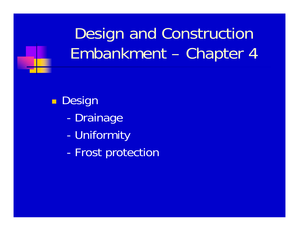# Design and Construction Embankment – Chapter 4

 $\blacksquare$ Design

- -Drainage
- -Uniformity
- -Frost protection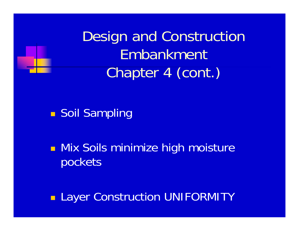

Design and Construction Embankment Chapter 4 (cont.)

**B** Soil Sampling

**Nix Soils minimize high moisture** pockets

**Layer Construction UNIFORMITY**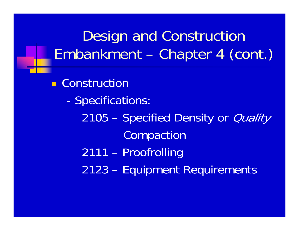Design and Construction Embankment – Chapter 4 (cont.)

**E** Construction - Specifications: 2105 – Specified Density or *Quality* Compaction 2111 – Proofrolling 2123 – Equipment Requirements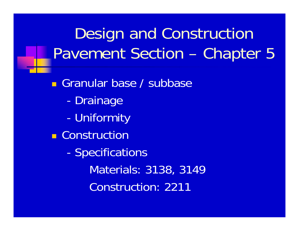# Design and Construction Pavement Section – Chapter 5

**Granular base / subbase** - Drainage - Uniformity **E** Construction - Specifications Materials: 3138, 3149 Construction: 2211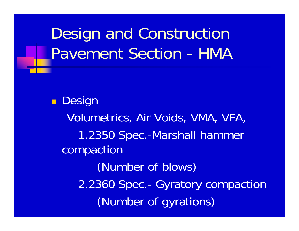# Design and Construction Pavement Section - HMA

**Design** Volumetrics, Air Voids, VMA, VFA, 1.2350 Spec.-Marshall hammer compaction (Number of blows) 2.2360 Spec.- Gyratory compaction (Number of gyrations)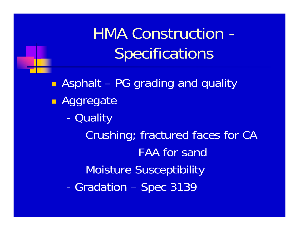HMA Construction - **Specifications** 

 Asphalt – PG grading and quality **B** Aggregate -**Quality** Crushing; fractured faces for CA FAA for sandMoisture Susceptibility -Gradation – Spec 3139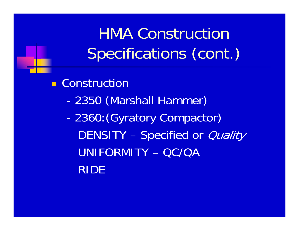HMA Construction Specifications (cont.)

**E** Construction

- -2350 (Marshall Hammer)
- - 2360:(Gyratory Compactor) DENSITY – Specified or *Quality* UNIFORMITY – QC/QA RIDE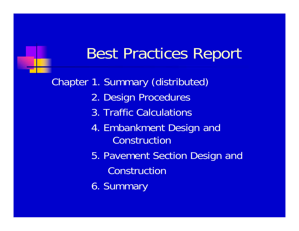### Best Practices Report

Chapter 1. Summary (distributed) 2. Design Procedures 3. Traffic Calculations4. Embankment Desi gn and Construction5. Pavement Section Design and Construction6. Summary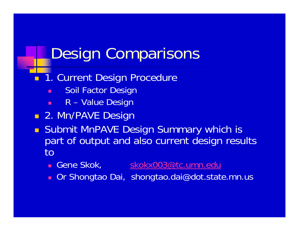### Design Comparisons

#### **1. Current Design Procedure**

- п Soil Factor Design
- н R – Value Design
- **2. Mn/PAVE Design**
- $\blacksquare$  Submit MnPAVE Design Summary which is part of output and also current design results to
	- Gene Skok, [skokx003@tc.umn.edu](mailto:skokx003@tc.umn.edu) | skokx003@tc.umn.edu
	- $\blacksquare$ Or Shongtao Dai, shongtao.dai@dot.state.mn.us